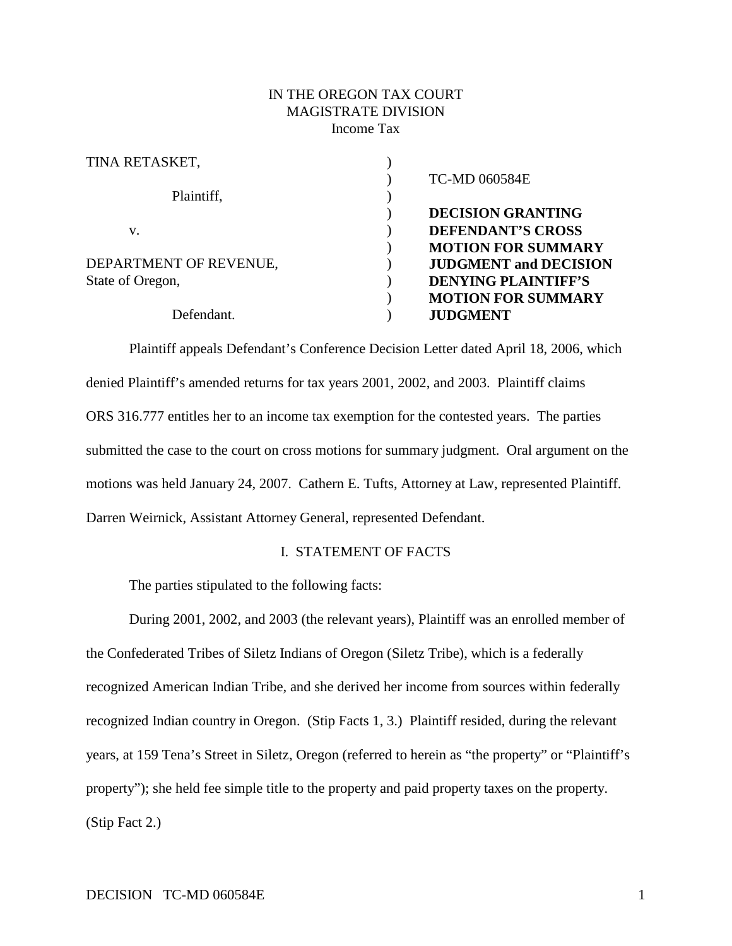## IN THE OREGON TAX COURT MAGISTRATE DIVISION Income Tax

| TINA RETASKET,         |                                     |
|------------------------|-------------------------------------|
|                        | <b>TC-MD 060584E</b>                |
| Plaintiff,             |                                     |
|                        | <b>DECISION GRANTING</b>            |
| V.                     | <b>DEFENDANT'S CROSS</b>            |
|                        | <b>MOTION FOR SUMMARY</b>           |
| DEPARTMENT OF REVENUE, | <b>JUDGMENT</b> and <b>DECISION</b> |
| State of Oregon,       | <b>DENYING PLAINTIFF'S</b>          |
|                        | <b>MOTION FOR SUMMARY</b>           |
| Defendant.             | <b>JUDGMENT</b>                     |
|                        |                                     |

Plaintiff appeals Defendant's Conference Decision Letter dated April 18, 2006, which denied Plaintiff's amended returns for tax years 2001, 2002, and 2003. Plaintiff claims ORS 316.777 entitles her to an income tax exemption for the contested years. The parties submitted the case to the court on cross motions for summary judgment. Oral argument on the motions was held January 24, 2007. Cathern E. Tufts, Attorney at Law, represented Plaintiff. Darren Weirnick, Assistant Attorney General, represented Defendant.

# I. STATEMENT OF FACTS

The parties stipulated to the following facts:

During 2001, 2002, and 2003 (the relevant years), Plaintiff was an enrolled member of the Confederated Tribes of Siletz Indians of Oregon (Siletz Tribe), which is a federally recognized American Indian Tribe, and she derived her income from sources within federally recognized Indian country in Oregon. (Stip Facts 1, 3.) Plaintiff resided, during the relevant years, at 159 Tena's Street in Siletz, Oregon (referred to herein as "the property" or "Plaintiff's property"); she held fee simple title to the property and paid property taxes on the property. (Stip Fact 2.)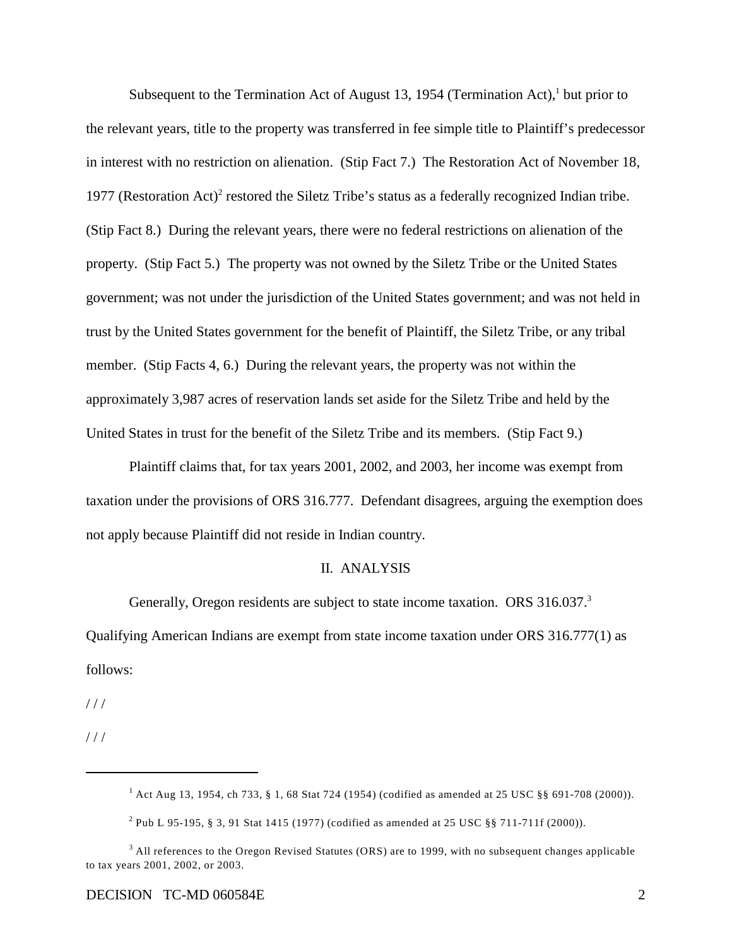Subsequent to the Termination Act of August 13, 1954 (Termination Act), but prior to the relevant years, title to the property was transferred in fee simple title to Plaintiff's predecessor in interest with no restriction on alienation. (Stip Fact 7.) The Restoration Act of November 18, 1977 (Restoration Act)<sup>2</sup> restored the Siletz Tribe's status as a federally recognized Indian tribe. (Stip Fact 8.) During the relevant years, there were no federal restrictions on alienation of the property. (Stip Fact 5.) The property was not owned by the Siletz Tribe or the United States government; was not under the jurisdiction of the United States government; and was not held in trust by the United States government for the benefit of Plaintiff, the Siletz Tribe, or any tribal member. (Stip Facts 4, 6.) During the relevant years, the property was not within the approximately 3,987 acres of reservation lands set aside for the Siletz Tribe and held by the United States in trust for the benefit of the Siletz Tribe and its members. (Stip Fact 9.)

Plaintiff claims that, for tax years 2001, 2002, and 2003, her income was exempt from taxation under the provisions of ORS 316.777. Defendant disagrees, arguing the exemption does not apply because Plaintiff did not reside in Indian country.

#### II. ANALYSIS

Generally, Oregon residents are subject to state income taxation. ORS 316.037.<sup>3</sup> Qualifying American Indians are exempt from state income taxation under ORS 316.777(1) as follows:

 $1/1$ 

 $1/1$ 

 $^{1}$  Act Aug 13, 1954, ch 733, § 1, 68 Stat 724 (1954) (codified as amended at 25 USC §§ 691-708 (2000)).

<sup>&</sup>lt;sup>2</sup> Pub L 95-195, § 3, 91 Stat 1415 (1977) (codified as amended at 25 USC §§ 711-711f (2000)).

 $3$  All references to the Oregon Revised Statutes (ORS) are to 1999, with no subsequent changes applicable to tax years 2001, 2002, or 2003.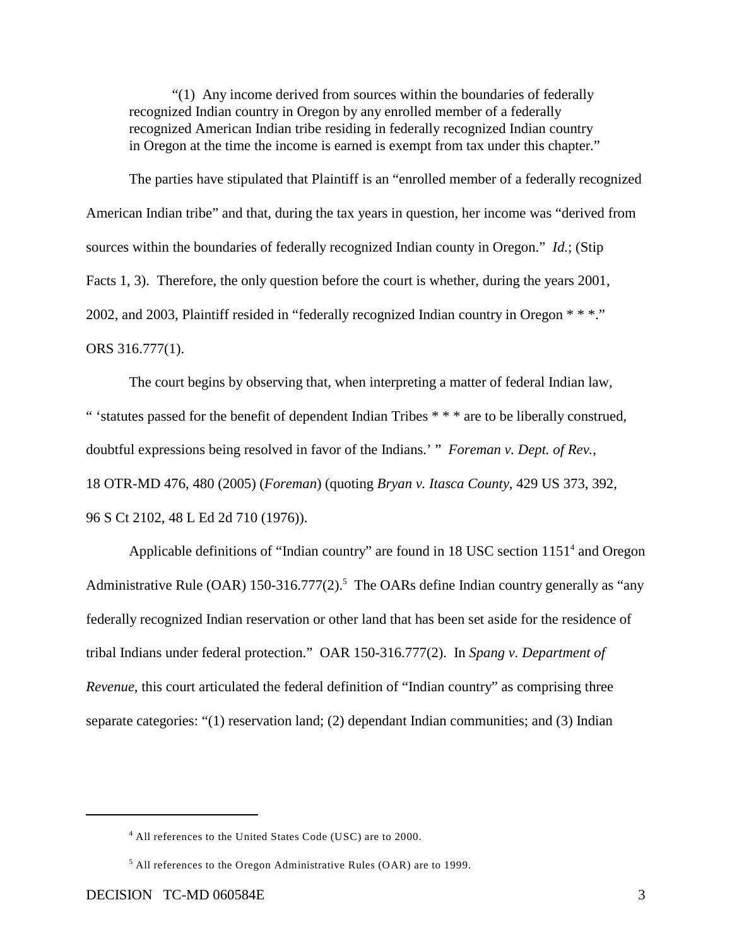"(1) Any income derived from sources within the boundaries of federally recognized Indian country in Oregon by any enrolled member of a federally recognized American Indian tribe residing in federally recognized Indian country in Oregon at the time the income is earned is exempt from tax under this chapter."

The parties have stipulated that Plaintiff is an "enrolled member of a federally recognized American Indian tribe" and that, during the tax years in question, her income was "derived from sources within the boundaries of federally recognized Indian county in Oregon." *Id.*; (Stip Facts 1, 3). Therefore, the only question before the court is whether, during the years 2001, 2002, and 2003, Plaintiff resided in "federally recognized Indian country in Oregon \* \* \*." ORS 316.777(1).

The court begins by observing that, when interpreting a matter of federal Indian law, " 'statutes passed for the benefit of dependent Indian Tribes \* \* \* are to be liberally construed, doubtful expressions being resolved in favor of the Indians.' " *Foreman v. Dept. of Rev.*, 18 OTR-MD 476, 480 (2005) (*Foreman*) (quoting *Bryan v. Itasca County*, 429 US 373, 392, 96 S Ct 2102, 48 L Ed 2d 710 (1976)).

Applicable definitions of "Indian country" are found in  $18 \text{ USC}$  section  $1151<sup>4</sup>$  and Oregon Administrative Rule (OAR) 150-316.777(2).<sup>5</sup> The OARs define Indian country generally as "any federally recognized Indian reservation or other land that has been set aside for the residence of tribal Indians under federal protection." OAR 150-316.777(2). In *Spang v. Department of Revenue*, this court articulated the federal definition of "Indian country" as comprising three separate categories: "(1) reservation land; (2) dependant Indian communities; and (3) Indian

 $4$  All references to the United States Code (USC) are to 2000.

 $<sup>5</sup>$  All references to the Oregon Administrative Rules (OAR) are to 1999.</sup>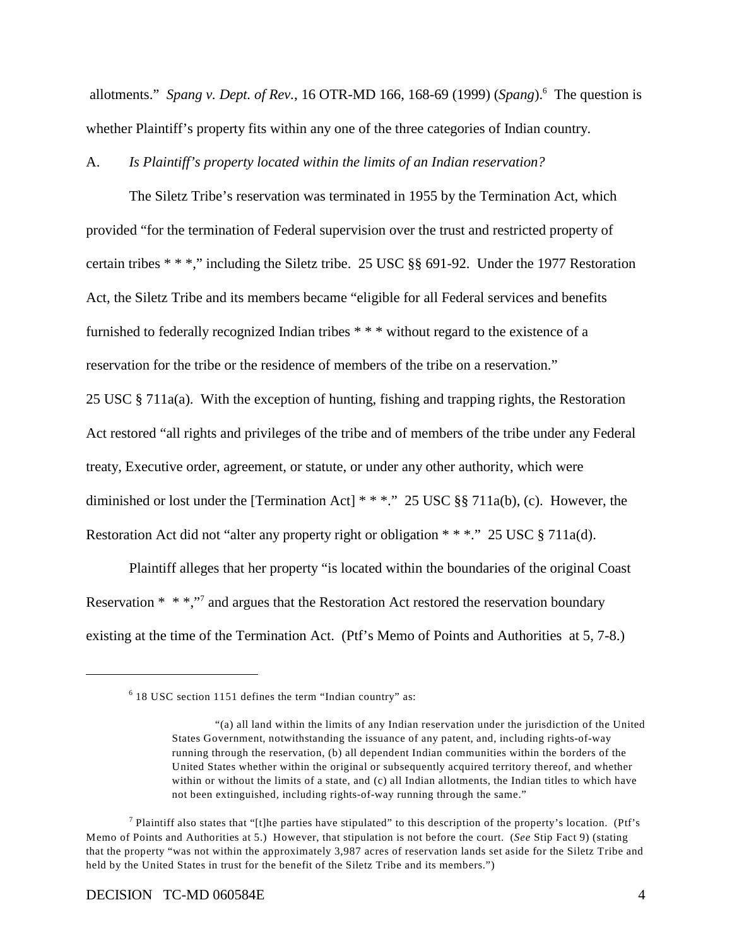allotments." *Spang v. Dept. of Rev.*, 16 OTR-MD 166, 168-69 (1999) (*Spang*). The question is <sup>6</sup> whether Plaintiff's property fits within any one of the three categories of Indian country.

### A. *Is Plaintiff's property located within the limits of an Indian reservation?*

The Siletz Tribe's reservation was terminated in 1955 by the Termination Act, which provided "for the termination of Federal supervision over the trust and restricted property of certain tribes \* \* \*," including the Siletz tribe. 25 USC §§ 691-92. Under the 1977 Restoration Act, the Siletz Tribe and its members became "eligible for all Federal services and benefits furnished to federally recognized Indian tribes \* \* \* without regard to the existence of a reservation for the tribe or the residence of members of the tribe on a reservation." 25 USC § 711a(a). With the exception of hunting, fishing and trapping rights, the Restoration Act restored "all rights and privileges of the tribe and of members of the tribe under any Federal treaty, Executive order, agreement, or statute, or under any other authority, which were diminished or lost under the [Termination Act] \* \* \*." 25 USC §§ 711a(b), (c). However, the Restoration Act did not "alter any property right or obligation \* \* \*." 25 USC § 711a(d).

Plaintiff alleges that her property "is located within the boundaries of the original Coast Reservation  $* * *$ ," and argues that the Restoration Act restored the reservation boundary existing at the time of the Termination Act. (Ptf's Memo of Points and Authorities at 5, 7-8.)

 $6$  18 USC section 1151 defines the term "Indian country" as:

<sup>&</sup>quot;(a) all land within the limits of any Indian reservation under the jurisdiction of the United States Government, notwithstanding the issuance of any patent, and, including rights-of-way running through the reservation, (b) all dependent Indian communities within the borders of the United States whether within the original or subsequently acquired territory thereof, and whether within or without the limits of a state, and (c) all Indian allotments, the Indian titles to which have not been extinguished, including rights-of-way running through the same."

<sup>&</sup>lt;sup>7</sup> Plaintiff also states that "[t]he parties have stipulated" to this description of the property's location. (Ptf's Memo of Points and Authorities at 5.) However, that stipulation is not before the court. (*See* Stip Fact 9) (stating that the property "was not within the approximately 3,987 acres of reservation lands set aside for the Siletz Tribe and held by the United States in trust for the benefit of the Siletz Tribe and its members.")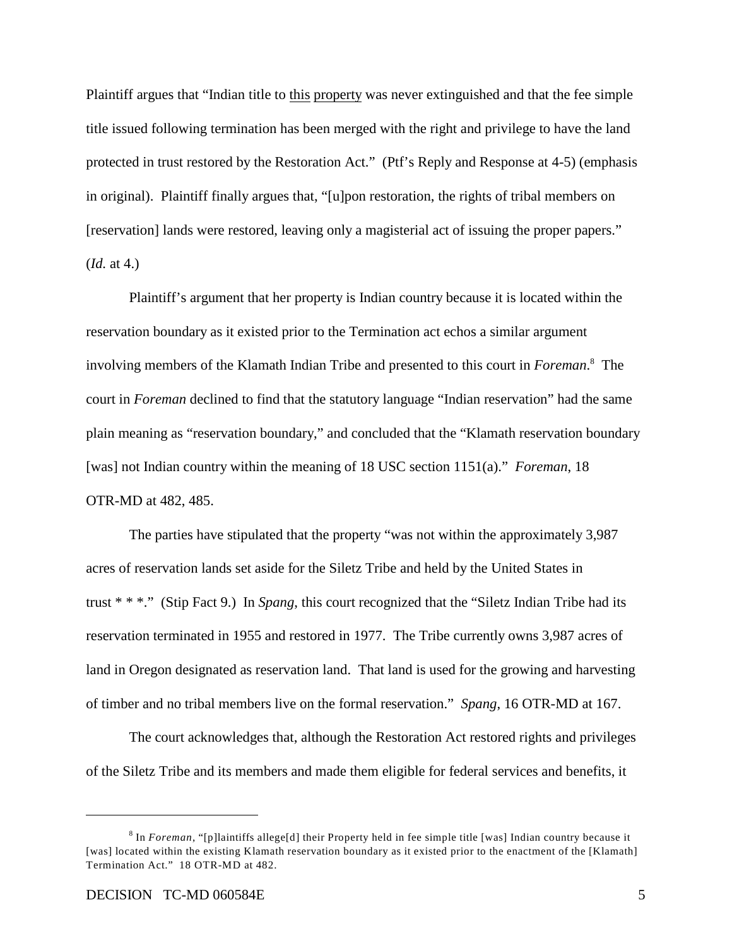Plaintiff argues that "Indian title to this property was never extinguished and that the fee simple title issued following termination has been merged with the right and privilege to have the land protected in trust restored by the Restoration Act." (Ptf's Reply and Response at 4-5) (emphasis in original). Plaintiff finally argues that, "[u]pon restoration, the rights of tribal members on [reservation] lands were restored, leaving only a magisterial act of issuing the proper papers." (*Id.* at 4.)

Plaintiff's argument that her property is Indian country because it is located within the reservation boundary as it existed prior to the Termination act echos a similar argument involving members of the Klamath Indian Tribe and presented to this court in *Foreman*.<sup>8</sup> The court in *Foreman* declined to find that the statutory language "Indian reservation" had the same plain meaning as "reservation boundary," and concluded that the "Klamath reservation boundary [was] not Indian country within the meaning of 18 USC section 1151(a)." *Foreman*, 18 OTR-MD at 482, 485.

The parties have stipulated that the property "was not within the approximately 3,987 acres of reservation lands set aside for the Siletz Tribe and held by the United States in trust \* \* \*." (Stip Fact 9.) In *Spang*, this court recognized that the "Siletz Indian Tribe had its reservation terminated in 1955 and restored in 1977. The Tribe currently owns 3,987 acres of land in Oregon designated as reservation land. That land is used for the growing and harvesting of timber and no tribal members live on the formal reservation." *Spang*, 16 OTR-MD at 167.

The court acknowledges that, although the Restoration Act restored rights and privileges of the Siletz Tribe and its members and made them eligible for federal services and benefits, it

<sup>&</sup>lt;sup>8</sup> In *Foreman*, "[p]laintiffs allege[d] their Property held in fee simple title [was] Indian country because it [was] located within the existing Klamath reservation boundary as it existed prior to the enactment of the [Klamath] Termination Act." 18 OTR-MD at 482.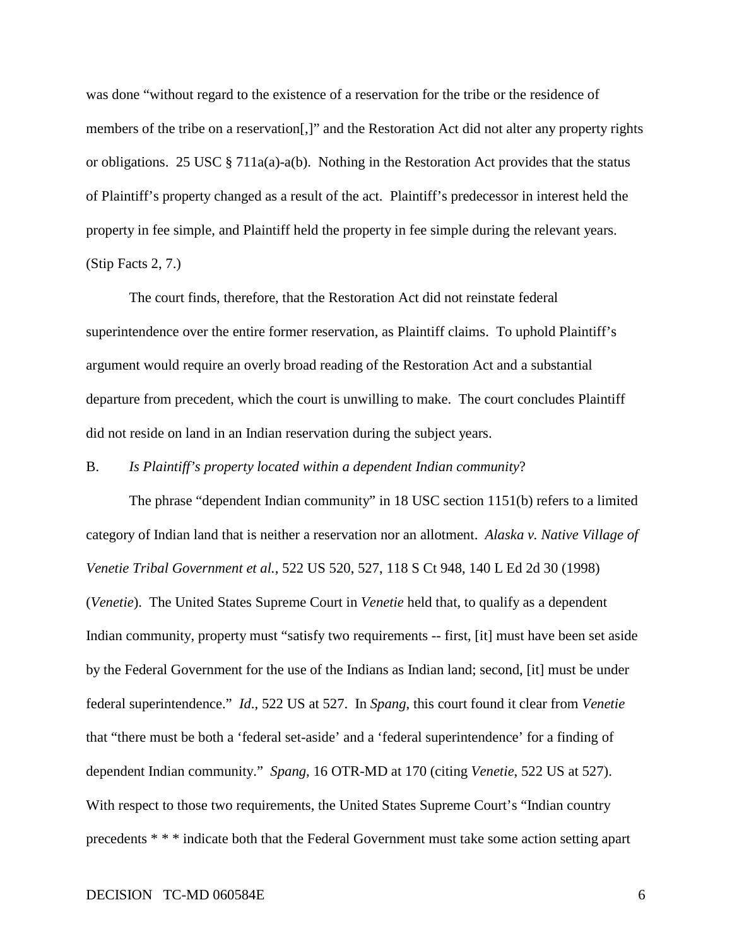was done "without regard to the existence of a reservation for the tribe or the residence of members of the tribe on a reservation[,]" and the Restoration Act did not alter any property rights or obligations. 25 USC  $\S 711a(a) - a(b)$ . Nothing in the Restoration Act provides that the status of Plaintiff's property changed as a result of the act. Plaintiff's predecessor in interest held the property in fee simple, and Plaintiff held the property in fee simple during the relevant years. (Stip Facts 2, 7.)

The court finds, therefore, that the Restoration Act did not reinstate federal superintendence over the entire former reservation, as Plaintiff claims. To uphold Plaintiff's argument would require an overly broad reading of the Restoration Act and a substantial departure from precedent, which the court is unwilling to make. The court concludes Plaintiff did not reside on land in an Indian reservation during the subject years.

### B. *Is Plaintiff's property located within a dependent Indian community*?

The phrase "dependent Indian community" in 18 USC section 1151(b) refers to a limited category of Indian land that is neither a reservation nor an allotment. *Alaska v. Native Village of Venetie Tribal Government et al.*, 522 US 520, 527, 118 S Ct 948, 140 L Ed 2d 30 (1998) (*Venetie*). The United States Supreme Court in *Venetie* held that, to qualify as a dependent Indian community, property must "satisfy two requirements -- first, [it] must have been set aside by the Federal Government for the use of the Indians as Indian land; second, [it] must be under federal superintendence." *Id*., 522 US at 527. In *Spang*, this court found it clear from *Venetie* that "there must be both a 'federal set-aside' and a 'federal superintendence' for a finding of dependent Indian community." *Spang*, 16 OTR-MD at 170 (citing *Venetie*, 522 US at 527). With respect to those two requirements, the United States Supreme Court's "Indian country precedents \* \* \* indicate both that the Federal Government must take some action setting apart

### DECISION TC-MD 060584E 6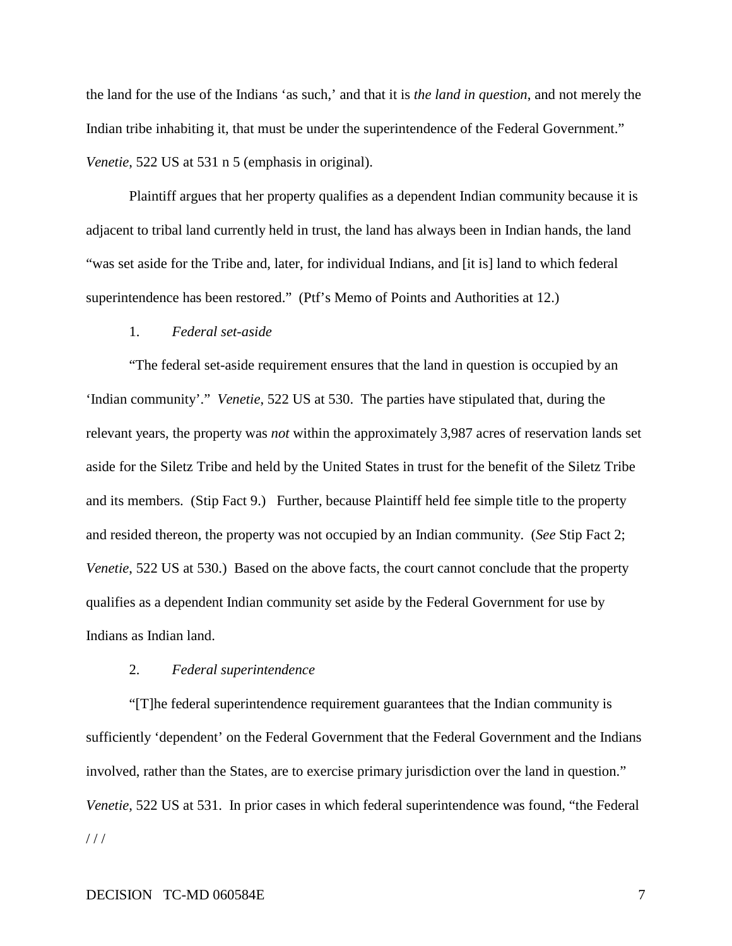the land for the use of the Indians 'as such,' and that it is *the land in question*, and not merely the Indian tribe inhabiting it, that must be under the superintendence of the Federal Government." *Venetie*, 522 US at 531 n 5 (emphasis in original).

Plaintiff argues that her property qualifies as a dependent Indian community because it is adjacent to tribal land currently held in trust, the land has always been in Indian hands, the land "was set aside for the Tribe and, later, for individual Indians, and [it is] land to which federal superintendence has been restored." (Ptf's Memo of Points and Authorities at 12.)

### 1. *Federal set-aside*

"The federal set-aside requirement ensures that the land in question is occupied by an 'Indian community'." *Venetie*, 522 US at 530. The parties have stipulated that, during the relevant years, the property was *not* within the approximately 3,987 acres of reservation lands set aside for the Siletz Tribe and held by the United States in trust for the benefit of the Siletz Tribe and its members. (Stip Fact 9.) Further, because Plaintiff held fee simple title to the property and resided thereon, the property was not occupied by an Indian community. (*See* Stip Fact 2; *Venetie*, 522 US at 530.) Based on the above facts, the court cannot conclude that the property qualifies as a dependent Indian community set aside by the Federal Government for use by Indians as Indian land.

#### 2. *Federal superintendence*

"[T]he federal superintendence requirement guarantees that the Indian community is sufficiently 'dependent' on the Federal Government that the Federal Government and the Indians involved, rather than the States, are to exercise primary jurisdiction over the land in question." *Venetie*, 522 US at 531. In prior cases in which federal superintendence was found, "the Federal  $11<sup>1</sup>$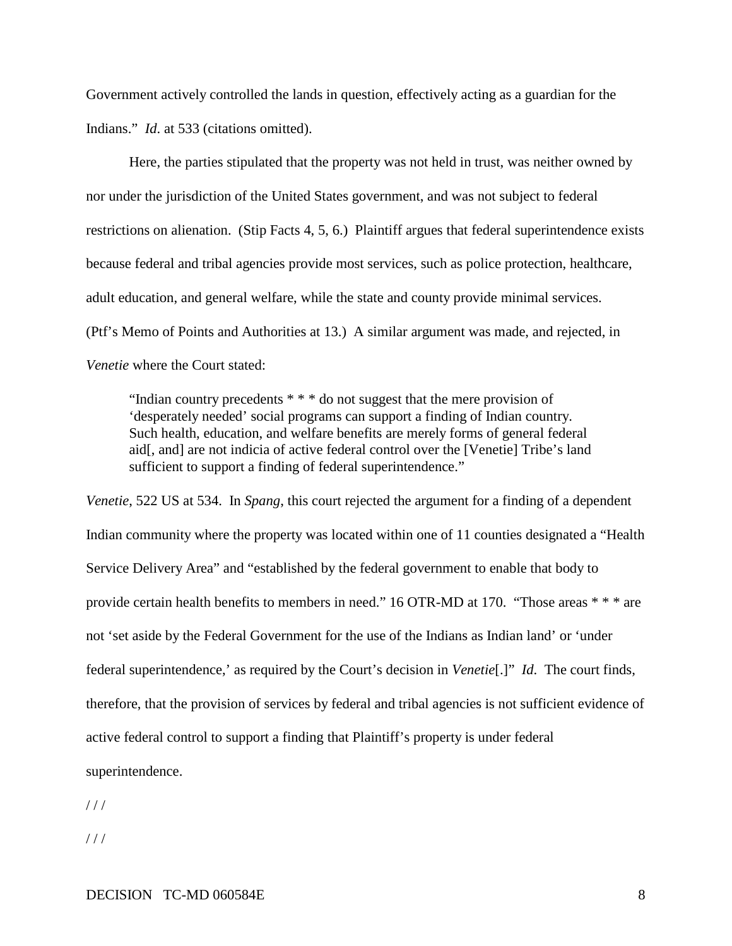Government actively controlled the lands in question, effectively acting as a guardian for the Indians." *Id*. at 533 (citations omitted).

Here, the parties stipulated that the property was not held in trust, was neither owned by nor under the jurisdiction of the United States government, and was not subject to federal restrictions on alienation. (Stip Facts 4, 5, 6.) Plaintiff argues that federal superintendence exists because federal and tribal agencies provide most services, such as police protection, healthcare, adult education, and general welfare, while the state and county provide minimal services. (Ptf's Memo of Points and Authorities at 13.) A similar argument was made, and rejected, in *Venetie* where the Court stated:

"Indian country precedents  $***$  do not suggest that the mere provision of 'desperately needed' social programs can support a finding of Indian country. Such health, education, and welfare benefits are merely forms of general federal aid[, and] are not indicia of active federal control over the [Venetie] Tribe's land sufficient to support a finding of federal superintendence."

*Venetie*, 522 US at 534. In *Spang*, this court rejected the argument for a finding of a dependent Indian community where the property was located within one of 11 counties designated a "Health Service Delivery Area" and "established by the federal government to enable that body to provide certain health benefits to members in need." 16 OTR-MD at 170. "Those areas \* \* \* are not 'set aside by the Federal Government for the use of the Indians as Indian land' or 'under federal superintendence,' as required by the Court's decision in *Venetie*[.]" *Id*. The court finds, therefore, that the provision of services by federal and tribal agencies is not sufficient evidence of active federal control to support a finding that Plaintiff's property is under federal superintendence.

 $/$  /  $/$ 

 $/$  /  $/$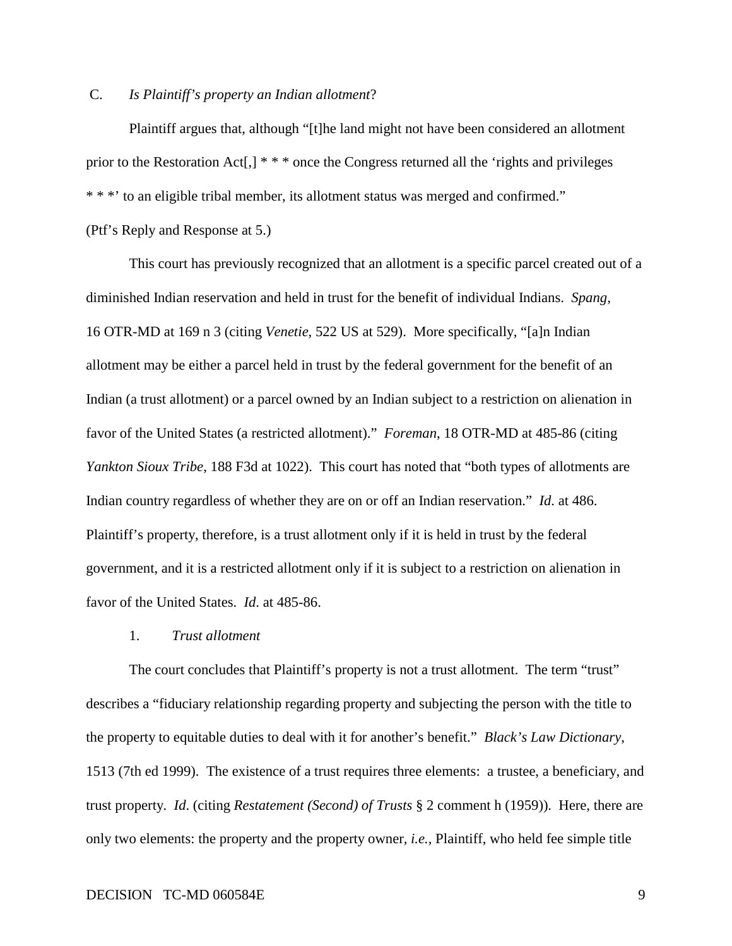## C. *Is Plaintiff's property an Indian allotment*?

Plaintiff argues that, although "[t]he land might not have been considered an allotment prior to the Restoration Act[,] \* \* \* once the Congress returned all the 'rights and privileges \* \* \*' to an eligible tribal member, its allotment status was merged and confirmed."

(Ptf's Reply and Response at 5.)

This court has previously recognized that an allotment is a specific parcel created out of a diminished Indian reservation and held in trust for the benefit of individual Indians. *Spang*, 16 OTR-MD at 169 n 3 (citing *Venetie*, 522 US at 529). More specifically, "[a]n Indian allotment may be either a parcel held in trust by the federal government for the benefit of an Indian (a trust allotment) or a parcel owned by an Indian subject to a restriction on alienation in favor of the United States (a restricted allotment)." *Foreman*, 18 OTR-MD at 485-86 (citing *Yankton Sioux Tribe*, 188 F3d at 1022). This court has noted that "both types of allotments are Indian country regardless of whether they are on or off an Indian reservation." *Id*. at 486. Plaintiff's property, therefore, is a trust allotment only if it is held in trust by the federal government, and it is a restricted allotment only if it is subject to a restriction on alienation in favor of the United States. *Id*. at 485-86.

#### 1. *Trust allotment*

The court concludes that Plaintiff's property is not a trust allotment. The term "trust" describes a "fiduciary relationship regarding property and subjecting the person with the title to the property to equitable duties to deal with it for another's benefit." *Black's Law Dictionary*, 1513 (7th ed 1999). The existence of a trust requires three elements: a trustee, a beneficiary, and trust property. *Id*. (citing *Restatement (Second) of Trusts* § 2 comment h (1959)). Here, there are only two elements: the property and the property owner, *i.e.,* Plaintiff, who held fee simple title

### DECISION TC-MD 060584E 9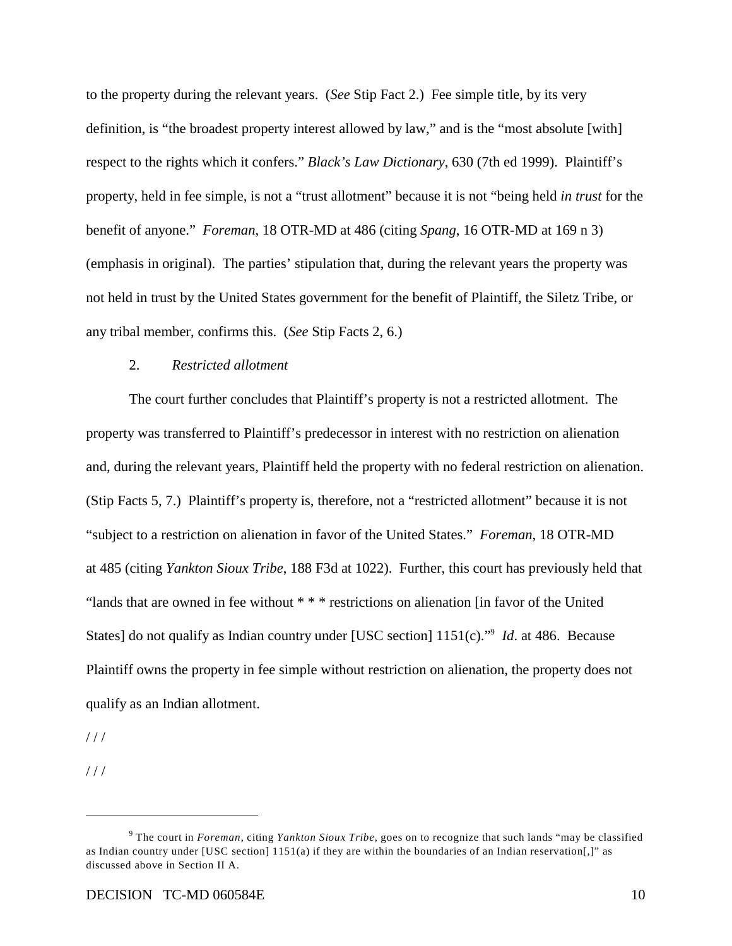to the property during the relevant years. (*See* Stip Fact 2.) Fee simple title, by its very definition, is "the broadest property interest allowed by law," and is the "most absolute [with] respect to the rights which it confers." *Black's Law Dictionary*, 630 (7th ed 1999). Plaintiff's property, held in fee simple, is not a "trust allotment" because it is not "being held *in trust* for the benefit of anyone." *Foreman*, 18 OTR-MD at 486 (citing *Spang*, 16 OTR-MD at 169 n 3) (emphasis in original). The parties' stipulation that, during the relevant years the property was not held in trust by the United States government for the benefit of Plaintiff, the Siletz Tribe, or any tribal member, confirms this. (*See* Stip Facts 2, 6.)

## 2. *Restricted allotment*

The court further concludes that Plaintiff's property is not a restricted allotment. The property was transferred to Plaintiff's predecessor in interest with no restriction on alienation and, during the relevant years, Plaintiff held the property with no federal restriction on alienation. (Stip Facts 5, 7.) Plaintiff's property is, therefore, not a "restricted allotment" because it is not "subject to a restriction on alienation in favor of the United States." *Foreman*, 18 OTR-MD at 485 (citing *Yankton Sioux Tribe*, 188 F3d at 1022). Further, this court has previously held that "lands that are owned in fee without \* \* \* restrictions on alienation [in favor of the United States] do not qualify as Indian country under [USC section] 1151(c)."<sup>9</sup> *Id.* at 486. Because Plaintiff owns the property in fee simple without restriction on alienation, the property does not qualify as an Indian allotment.

 $1/1$ 

 $1/1$ 

The court in *Foreman*, citing *Yankton Sioux Tribe*, goes on to recognize that such lands "may be classified <sup>9</sup> as Indian country under [USC section] 1151(a) if they are within the boundaries of an Indian reservation[,]" as discussed above in Section II A.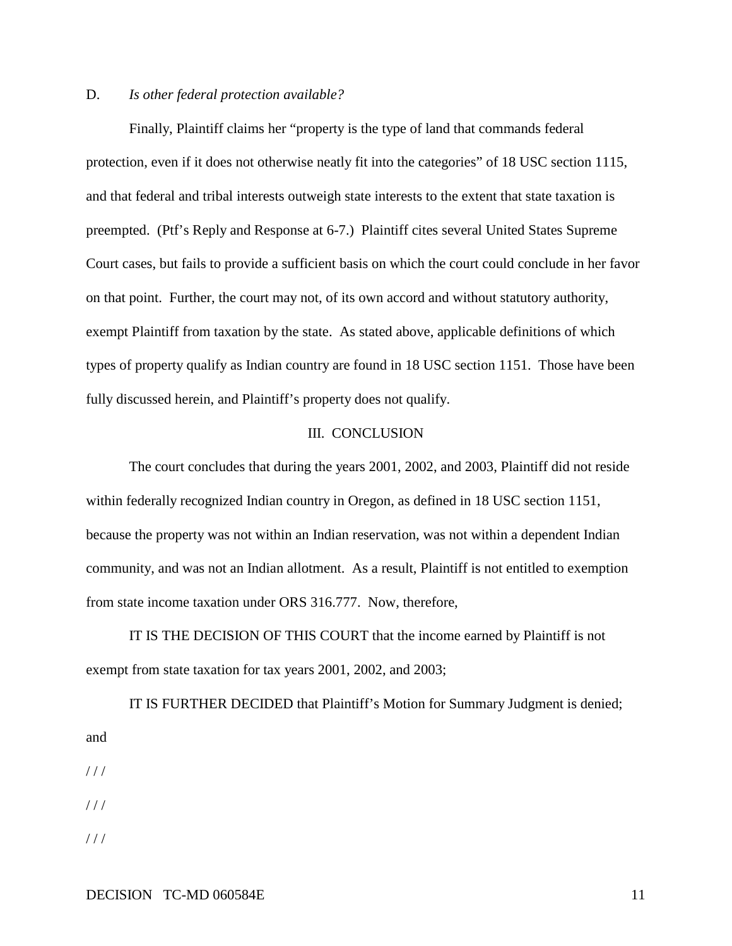## D. *Is other federal protection available?*

Finally, Plaintiff claims her "property is the type of land that commands federal protection, even if it does not otherwise neatly fit into the categories" of 18 USC section 1115, and that federal and tribal interests outweigh state interests to the extent that state taxation is preempted. (Ptf's Reply and Response at 6-7.) Plaintiff cites several United States Supreme Court cases, but fails to provide a sufficient basis on which the court could conclude in her favor on that point. Further, the court may not, of its own accord and without statutory authority, exempt Plaintiff from taxation by the state. As stated above, applicable definitions of which types of property qualify as Indian country are found in 18 USC section 1151. Those have been fully discussed herein, and Plaintiff's property does not qualify.

## III. CONCLUSION

The court concludes that during the years 2001, 2002, and 2003, Plaintiff did not reside within federally recognized Indian country in Oregon, as defined in 18 USC section 1151, because the property was not within an Indian reservation, was not within a dependent Indian community, and was not an Indian allotment. As a result, Plaintiff is not entitled to exemption from state income taxation under ORS 316.777. Now, therefore,

IT IS THE DECISION OF THIS COURT that the income earned by Plaintiff is not exempt from state taxation for tax years 2001, 2002, and 2003;

IT IS FURTHER DECIDED that Plaintiff's Motion for Summary Judgment is denied; and

 $1/1$ 

 $1/1$ 

 $1/1$